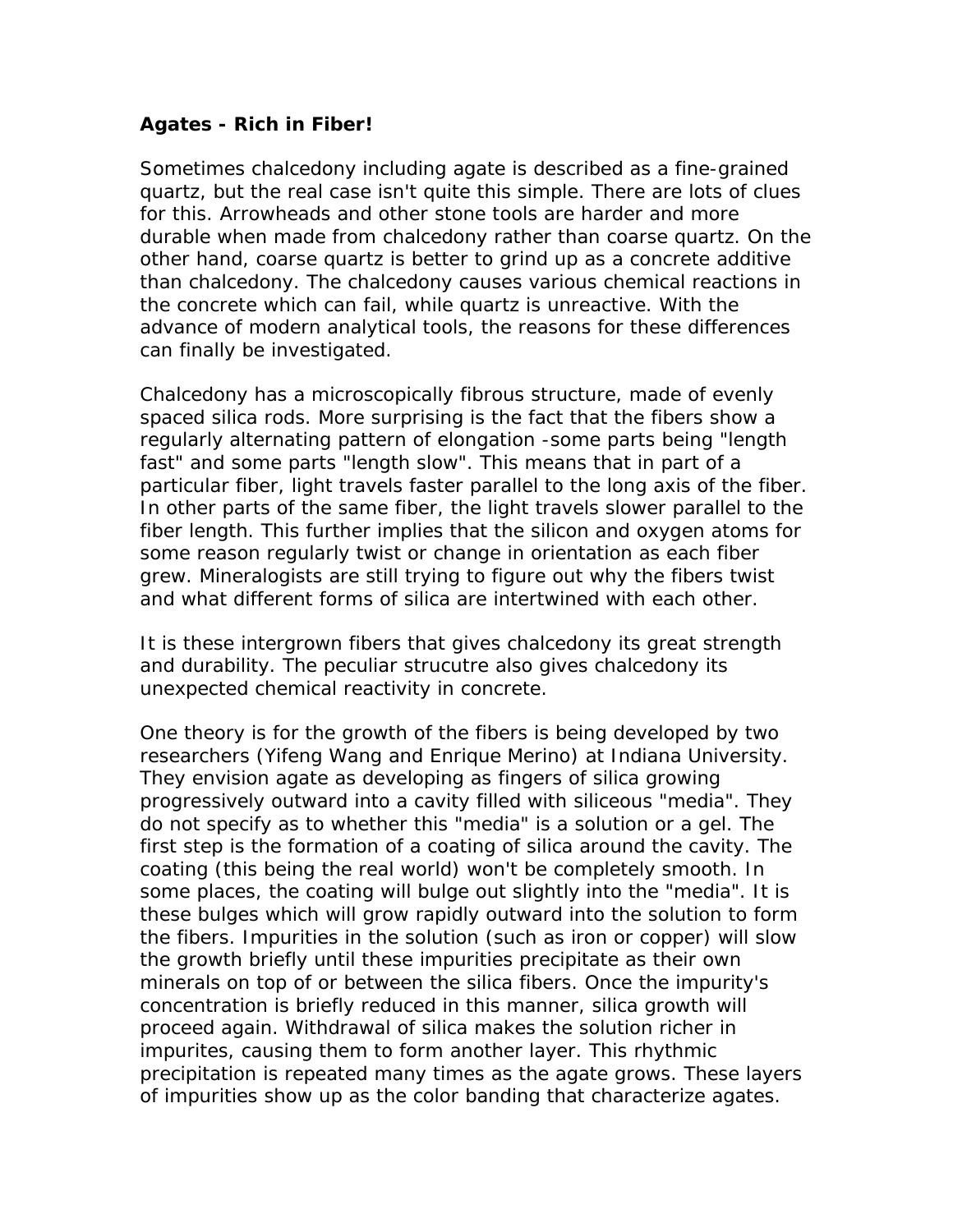## **Agates - Rich in Fiber!**

Sometimes chalcedony including agate is described as a fine-grained quartz, but the real case isn't quite this simple. There are lots of clues for this. Arrowheads and other stone tools are harder and more durable when made from chalcedony rather than coarse quartz. On the other hand, coarse quartz is better to grind up as a concrete additive than chalcedony. The chalcedony causes various chemical reactions in the concrete which can fail, while quartz is unreactive. With the advance of modern analytical tools, the reasons for these differences can finally be investigated.

Chalcedony has a microscopically fibrous structure, made of evenly spaced silica rods. More surprising is the fact that the fibers show a regularly alternating pattern of elongation -some parts being "length fast" and some parts "length slow". This means that in part of a particular fiber, light travels faster parallel to the long axis of the fiber. In other parts of the same fiber, the light travels slower parallel to the fiber length. This further implies that the silicon and oxygen atoms for some reason regularly twist or change in orientation as each fiber grew. Mineralogists are still trying to figure out why the fibers twist and what different forms of silica are intertwined with each other.

It is these intergrown fibers that gives chalcedony its great strength and durability. The peculiar strucutre also gives chalcedony its unexpected chemical reactivity in concrete.

One theory is for the growth of the fibers is being developed by two researchers (Yifeng Wang and Enrique Merino) at Indiana University. They envision agate as developing as fingers of silica growing progressively outward into a cavity filled with siliceous "media". They do not specify as to whether this "media" is a solution or a gel. The first step is the formation of a coating of silica around the cavity. The coating (this being the real world) won't be completely smooth. In some places, the coating will bulge out slightly into the "media". It is these bulges which will grow rapidly outward into the solution to form the fibers. Impurities in the solution (such as iron or copper) will slow the growth briefly until these impurities precipitate as their own minerals on top of or between the silica fibers. Once the impurity's concentration is briefly reduced in this manner, silica growth will proceed again. Withdrawal of silica makes the solution richer in impurites, causing them to form another layer. This rhythmic precipitation is repeated many times as the agate grows. These layers of impurities show up as the color banding that characterize agates.